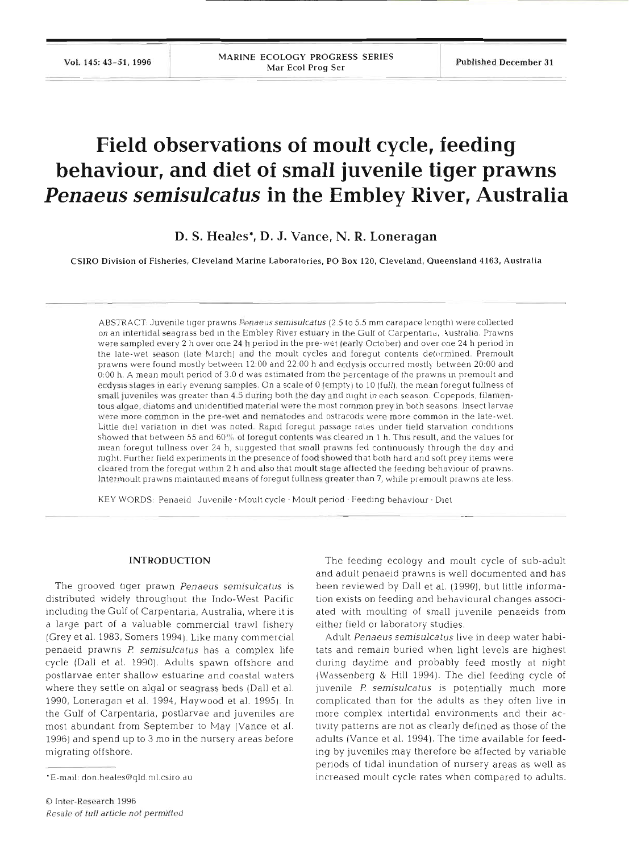Vol. 145: 43-51, 1996 **1988** MARINE ECOLOGY PROGRESS SERIES **Published December 31** 

# **Field observations of moult cycle, feeding behaviour, and diet of small juvenile tiger prawns**  *Penaeus semisulcatus* **in the Embley River, Australia**

**D. S. Heales\*, D. J. Vance, N. R. Loneragan** 

CSIRO Division of Fisheries, Cleveland Marine Laboratories, PO Box 120, Cleveland, Queensland 4163, Australia

ABSTRACT: Juvenile tiger prawns *Penaeus semisulcatus* (2.5 to 5.5 mm carapace length) were collected on an intertidal seagrass bed in the Embley River estuary in the Gulf of Carpentaria, Australia. Prawns were sampled every 2 h over one 24 h period in the pre-wet **(early** October) and over one 24 h period in the late-wet season (late March) and the moult cycles and foregut contents determined. Premoult prawns were found mostly between 12:00 and 22:OO h and ecdysis occurred mostl}- between 20:OO and 0-00 h. A mean moult period of 3.0 d was estimated from the percentage of the prawns in premoult and ecdysis stages in early evening samples. On a scale of 0 (empty) to 10 (full), the mean foregut fullness of small juveniles was greater than 4.5 during both the day and night in each season. Copepods, filamentous algae, diatoms and unidentified material were the most common prey in both seasons. Insect larvae were more common in the pre-wet and nematodes and ostracods were more common in the late-wet. Little diel variation in diet was noted. Rapid foregut passage rates under field starvation conditions showed that between 55 and 60% of foregut contents was cleared In 1 h. **This** result, and the values for mean foregut tullness over 24 h, suggested that small prawns fed continuously through the day and night. Further field experiments in the presence of food showed that both hard and soft prey items were cleared from the foregut wlthln 2 h and also that moult stage affected the feeding behaviour of prawns. Intermoult prawns maintamed means of foregut fullness greater than 7, while premoult prawns ate less.

KEY WORDS: Penaeid Juvenile · Moult cycle · Moult period · Feeding behaviour · Diet

# **INTRODUCTION**

The grooved tiger prawn Penaeus semisulcatus is distributed widely throughout the Indo-West Pacific including the Gulf of Carpentaria, Australia, where it is a large part of a valuable commercial trawl fishery (Grey et al. 1983, Somers 1994). Like many commercial penaeid prawns P: semisulcatus has a complex life cycle (Dall et al. 1990). Adults spawn offshore and postlarvae enter shallow estuarine and coastal waters where they settle on algal or seagrass beds (Dall et al. 1990, Loneragan et al. 1994, Haywood et al. 1995). In the Gulf of Carpentaria, postlarvae and juveniles are most abundant from September to May (Vance et al. 1996) and spend up to 3 mo in the nursery areas before migrating offshore.

The feeding ecology and moult cycle of sub-adult and adult penaeid prawns is well documented and has been reviewed by Dall et al. (1990), but little information exists on feeding and behavioural changes associated with moulting of small juvenile penaeids from either field or laboratory studies.

Adult Penaeus semisulcatus live in deep water habitats and remain buried when light levels are highest during daytime and probably feed mostly at night (Wassenberg & Hill 1994). The die1 feeding cycle of juvenile P. semisulcatus is potentially much more complicated than for the adults as they often live in more complex intertidal environments and their activity patterns are not as clearly defined as those of the adults (Vance et al. 1994). The time available for feeding by juveniles may therefore be affected by variable periods of tidal inundation of nursery areas as well as increased moult cycle rates when compared to adults.

<sup>&#</sup>x27;E-mail: don.heales@qld.ml.csiro.au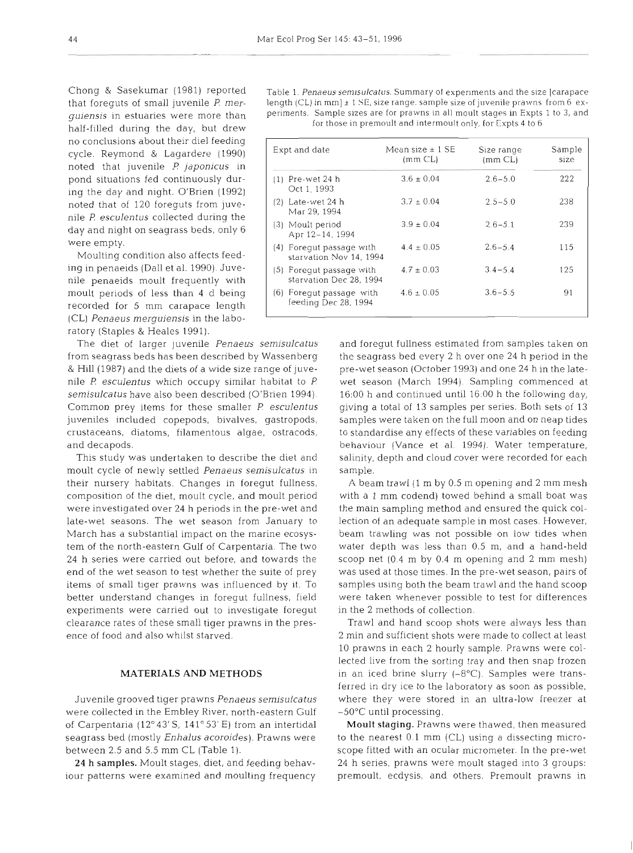Chong & Sasekumar (1981) reported that foreguts of small juvenile P *merguiensis* in estuaries were more than half-filled during the day, but drew no conclusions about their diel feeding cycle. Reymond & Lagardere (1990) noted that juvenile P *japonicus* in pond situations fed continuously during the day and night. O'Brien (1992) noted that of 120 foreguts from juvenile P *esculentus* collected during the day and night on seagrass beds, only 6 were empty.

Moulting condition also affects feeding in penaeids (Dall et al. 1990). Juvenile penaeids moult frequently with moult periods of less than 4 d being recorded for 5 mm carapace length (CL) *Penaeus mergujensis* in the labo ratory (Staples & Heales 1991).

The diet of larger juvenile *Penaeus semisulcatus* and foregut fullness estimated from samples taken on

moult cycle of newly settled *Penaeus semisulcatus* in sample. their nursery habitats. Changes in foregut fullness, A beam trawl (1 m by 0.5 m opening and 2 mm mesh composition of the diet, moult cycle, and moult period with a 1 mm codend) towed behind a small boat was were investigated over 24 h periods in the pre-wet and the main sampling method and ensured the quick collate-wet seasons. The wet season from January to lection of an adequate sample in most cases. However, March has a substantial impact on the marine ecosys- beam trawling was not possible on low tides when tem of the north-eastern Gulf of Carpentaria. The two water depth was less than 0.5 m, and a hand-held 24 h series were carried out before, and towards the scoop net (0 4 m by 0.4 m opening and 2 mm mesh) end of the wet season to test whether the suite of prey was used at those times. In the pre-wet season, pairs of items of small tiger prawns was influenced by it. To samples using both the beam trawl and the hand scoop better understand changes in foregut fullness, field were taken whenever possible to test for differences experiments were carried out to investigate foregut in the 2 methods of collection. clearance rates of these small tiger prawns in the pres- Trawl and hand scoop shots were always less than

were collected in the Embley River, north-eastern Gulf  $-50^{\circ}$ C until processing. of Carpentaria (12"43'S, 14 l" 53' E) from an intertidal **Moult staging.** Prawns were thawed, then measured

Table 1. Penaeus semisulcatus. Summary of experiments and the size [carapace length (CL) in mm]  $\pm$  1 SE, size range. sample size of juvenile prawns from 6 experiments. Sample sizes are for prawns in all moult stages in Expts 1 to 3, and for those in premoult and intermoult only, for Expts 4 to 6

| Expt and date |                                                     | Mean size $\pm$ 1 SE<br>(mm CL) | Size range<br>(mm CL) | Sample<br>size |
|---------------|-----------------------------------------------------|---------------------------------|-----------------------|----------------|
|               | $(1)$ Pre-wet 24 h<br>Oct 1, 1993                   | $3.6 \pm 0.04$                  | $2.6 - 5.0$           | 222            |
|               | $(2)$ Late-wet 24 h<br>Mar 29, 1994                 | $3.7 \pm 0.04$                  | $2.5 - 5.0$           | 238            |
|               | (3) Moult period<br>Apr 12-14, 1994                 | $3.9 \pm 0.04$                  | $2.6 - 5.1$           | 239            |
|               | (4) Foregut passage with<br>starvation Nov 14, 1994 | $4.4 \pm 0.05$                  | $2.6 - 5.4$           | 115            |
|               | (5) Foregut passage with<br>starvation Dec 28, 1994 | $4.7 \pm 0.03$                  | $3.4 - 5.4$           | 125            |
|               | (6) Foregut passage with<br>feeding Dec 28, 1994    | $4.6 \pm 0.05$                  | $3.6 - 5.5$           | 91             |

from seagrass beds has been described by Wassenberg the seagrass bed every 2 h over one 24 h period in the & Hill (1987) and the diets of a wide size range of juve- pre-wet season (October 1993) and one 24 h in the latenile P *esculentus* which occupy similar habitat to **l?** wet season (March 1994). Sampling commenced at *semisulcatus* have also been described (O'Brien 1994). 16:00 h and continued until 16:00 h the following day, Common prey items for these smaller *P esculentus* giving a total of 13 samples per series. Both sets of 13 juveniles included copepods, bivalves, gastropods, samples were taken on the full moon and on neap tides crustaceans, diatoms, filamentous algae, ostracods, to standardise any effects of these variables on feeding and decapods. behaviour (Vance et al. 1994). Water temperature, This study was undertaken to describe the diet and salinity, depth and cloud cover were recorded for each

ence of food and also whilst starved. 2 min and sufficient shots were made to collect at least 10 prawns In each 2 hourly sample. Prawns were collected live from the sorting tray and then snap frozen **MATERIALS AND METHODS** in an iced brine slurry (-8°C). Samples were transferred in dry ice to the laboratory as soon as possible, Juvenile grooved tiger prawns *Penaeussernisulcatus* where they were stored in an ultra-low freezer at

seagrass bed (mostly *Enhalus acoroides*). Prawns were to the nearest 0.1 mm (CL) using a dissecting microbetween 2.5 and 5.5 mm CL (Table 1). scope fitted with an ocular micrometer. In the pre-wet 24 h **samples.** moult stages, diet, and feeding behav- 24 h series, prawns were moult staged into **3** groups: iour patterns were examined and moulting frequency premoult, ecdysis, and others. Premoult prawns in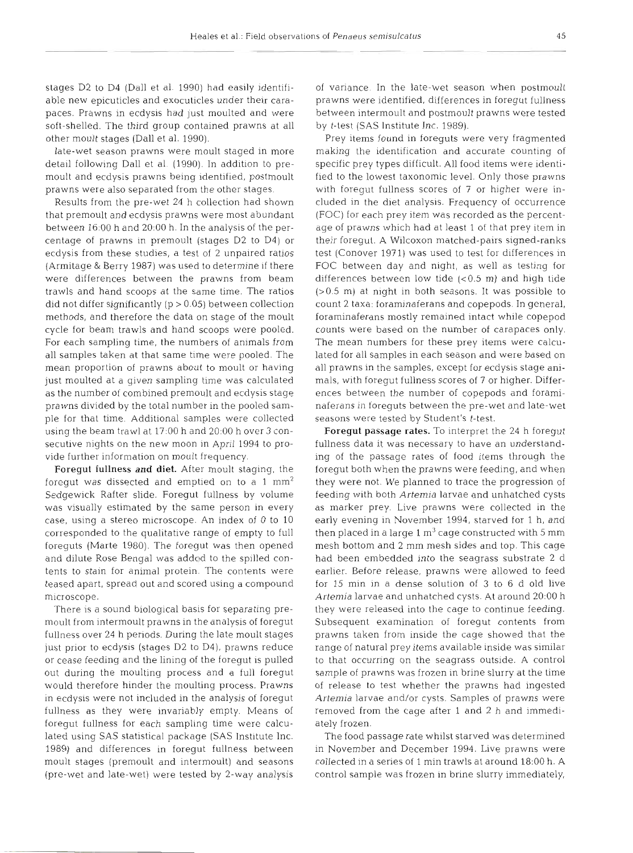stages D2 to D4 (Dall et al. 1990) had easily identifiable new epicuticles and exocuticles under their carapaces. Prawns in ecdysis had just moulted and were soft-shelled. The third group contained prawns at all other moult stages (Dall et al. 1990).

late-wet season prawns were moult staged in more detail following Dall et al. (1990). In addition to premoult and ecdysis prawns being identified, postmoult prawns were also separated from the other stages.

Results from the pre-wet 24 h collection had shown that premoult and ecdysis prawns were most abundant between 16:00 h and 20:OO h. In the analysis of the percentage of prawns in premoult (stages D2 to D4) or ecdysis from these studies, a test of 2 unpaired ratios (Armitage & Berry 1987) was used to determine if there were differences between the prawns from beam trawls and hand scoops at the same time. The ratios did not differ significantly (p > 0.05) between collection methods, and therefore the data on stage of the moult cycle for beam trawls and hand scoops were pooled. For each sampling time, the numbers of animals from all samples taken at that same time were pooled. The mean proportion of prawns about to moult or having just moulted at a given sampling time was calculated as the number of combined premoult and ecdysis stage prawns divided by the total number in the pooled sample for that time. Additional samples were collected using the beam trawl at 17:OO h and 20:OO h over 3 consecutive nights on the new moon in April 1994 to provide further information on moult frequency.

Foregut fullness and diet. After moult staging, the foregut was dissected and emptied on to a 1  $mm<sup>2</sup>$ Sedgewick Rafter slide. Foregut fullness by volume was visually estimated by the same person in every case, using a stereo microscope. An index of 0 to 10 corresponded to the qualitative range of empty to full foreguts (Marte 1980). The foregut was then opened and dilute Rose Bengal was added to the spilled contents to stain for animal protein. The contents were teased apart, spread out and scored using a compound microscope.

There is a sound biological basis for separating premoult from intermoult prawns in the analysis of foregut fullness over 24 h periods. During the late moult stages just prior to ecdysis (stages D2 to D4), prawns reduce or cease feeding and the lining of the foregut is pulled out during the moulting process and a full foregut would therefore hinder the moulting process. Prawns in ecdysis were not included in the analysis of foregut fullness as they were invariably empty. Means of foregut fullness for each sampling time were calculated using SAS statistical package (SAS Institute Inc. 1989) and differences in foregut fullness between moult stages (premoult and intermoult) and seasons (pre-wet and late-wet) were tested by 2-way analysis of variance. In the late-wet season when postmoult prawns were identified, differences in foregut fullness between intermoult and postmoult prawns were tested by t-test (SAS Institute Inc. 1989).

Prey items found in foreguts were very fragmented making the identification and accurate counting of specific prey types difficult. All food items were identified to the lowest taxonomic level. Only those prawns with foregut fullness scores of 7 or higher were included in the diet analysis. Frequency of occurrence (FOC) for each prey item was recorded as the percentage of prawns which had at least 1 of that prey item in their foregut. A Wilcoxon matched-pairs signed-ranks test (Conover 1971) was used to test for differences in FOC between day and night, as well as testing for differences between low tide  $( $0.5$  m) and high tide$ (>0.5 m) at night in both seasons. It was possible to count 2 taxa: foraminaferans and copepods. In general, foraminaferans mostly remained intact while copepod counts were based on the number of carapaces only. The mean numbers for these prey items were calculated for all samples in each season and were based on all prawns in the samples, except for ecdysis stage animals, with foregut fullness scores of 7 or higher. Differences between the number of copepods and foraminaferans in foreguts between the pre-wet and late-wet seasons were tested by Student's t-test.

Foregut passage rates. To interpret the 24 h foregut fullness data it was necessary to have an understandmg of the passage rates of food items through the foregut both when the prawns were feeding, and when they were not. We planned to trace the progression of feeding with both *Artemia* larvae and unhatched cysts as marker prey. Live prawns were collected in the early evening in November 1994, starved for 1 h, and then placed in a large 1  $\mathrm{m}^{3}$  cage constructed with 5  $\mathrm{mm}$ mesh bottom and 2 mm mesh sides and top. This cage had been embedded into the seagrass substrate 2 d earlier. Before release, prawns were allowed to feed for 15 min in a dense solution of 3 to 6 d old live *Arten~ia* larvae and unhatched cysts. At around 20:OO h they were released into the cage to continue feeding. Subsequent examination of foregut contents from prawns taken from inside the cage showed that the range of natural prey items available inside was similar to that occurring on the seagrass outside. A control sample of prawns was frozen in brine slurry at the time of release to test whether the prawns had ingested *Artemia* larvae and/or cysts. Samples of prawns were removed from the cage after 1 and 2 h and immediately frozen.

The food passage rate whilst starved was determined in November and December 1994. Live prawns were collected in a series of 1 min trawls at around 18:00 h. A control sample was frozen in brine slurry immediately,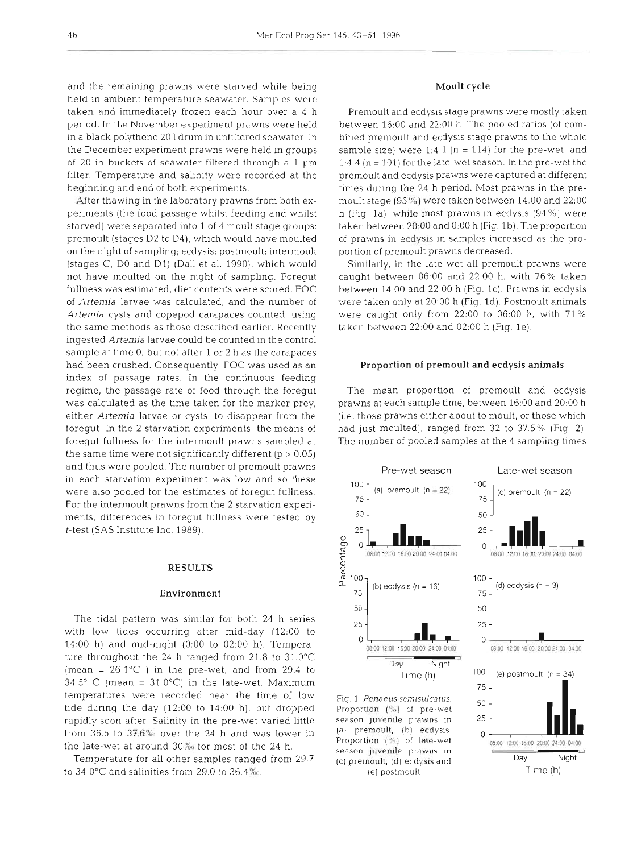and the remaining prawns were starved while being held in ambient temperature seawater. Samples were taken and immediately frozen each hour over a 4 h period. In the November experiment prawns were held in a black polythene 20 l drum in unfiltered seawater. In the December experiment prawns were held in groups of 20 in buckets of seawater filtered through a  $1 \mu m$ filter. Temperature and salinity were recorded at the beginning and end of both experiments.

After thawing in the laboratory prawns from both experiments (the food passage whilst feeding and whilst starved) were separated into 1 of 4 moult stage groups: premoult (stages D2 to D4), which would have moulted on the night of sampling; ecdysis; postmoult; intermoult (stages C, DO and D1) (Dall et al. 1990), which would not have moulted on the night of sampling. Foregut fullness was estimated, diet contents were scored, FOC of *Artemia* larvae was calculated, and the number of *Artemia* cysts and copepod carapaces counted, using the same methods as those described earlier. Recently ingested *Artemia* larvae could be counted in the control sample at time 0, but not after 1 or 2 h as the carapaces had been crushed. Consequently, FOC was used as an index of passage rates. In the continuous feeding regime, the passage rate of food through the foregut was calculated as the time taken for the marker prey, either **Artemia** larvae or cysts, to disappear from the foregut. In the 2 starvation experiments, the means of foregut fullness for the intermoult prawns sampled at the same time were not significantly different ( $p > 0.05$ ) and thus were pooled. The number of premoult prawns in each starvation experiment was low and so these were also pooled for the estimates of foregut fullness. For the intermoult prawns from the 2 starvation experiments, differences in foregut fullness were tested by t-test (SAS Institute Inc. 1989).

# **RESULTS**

### Environment

The tidal pattern was similar for both 24 h series with low tides occurring after mid-day (12:OO to 14:00 h) and mid-night (0:OO to 02:OO h). Temperature throughout the 24 h ranged from  $21.8$  to  $31.0^{\circ}$ C (mean =  $26.1^{\circ}$ C) in the pre-wet, and from 29.4 to  $34.5^{\circ}$  C (mean =  $31.0^{\circ}$ C) in the late-wet. Maximum temperatures were recorded near the time of low tide during the day  $(12:00$  to  $14:00$  h), but dropped rapidly soon after Salinity in the pre-wet varied little from 36.5 to 37.6% over the 24 h and was lower in (a) premoult, (b) ecdysis.<br>the late wet at anguard 20% for most of the 24 h Proportion (%) of late wet the late-wet at around 30% for most of the 24 h.

Temperature for all other samples ranged from 29.7 to 34.0°C and salinities from 29.0 to 36.4‰.

# Moult cycle

Premoult and ecdysis stage prawns were mostly taken between 16:00 and 22:OO h. The pooled ratios (of combined premoult and ecdysis stage prawns to the whole sample size) were 1:4.1 ( $n = 114$ ) for the pre-wet, and 1:4.4 ( $n = 101$ ) for the late-wet season. In the pre-wet the premoult and ecdysis prawns were captured at different times during the 24 h period. Most prawns in the premoult stage (95%) were taken between 14:OO and 22:OO h (Fig la), while most prawns in ecdysis (94 %) were taken between 20:00 and 0:00 h (Fig. 1b). The proportion of prawns in ecdysis in samples increased as the proportion of premoult prawns decreased.

Similarly, in the late-wet all premoult prawns were caught between 06:OO and 22:OO h, with 76% taken between 14:OO and 22:OO h (Fig. lc). Prawns in ecdysis were taken only at 20:OO h (Fig. Id). Postmoult animals were caught only from 22:OO to 06:OO h, with 71 %) taken between 22:OO and 02:OO h (Fig. le).

# Proportion of premoult **and** ecdysis animals

The mean proportion of premoult and ecdysis prawns at each sample time, between 16:00 and 20:00 h (i.e, those prawns either about to moult, or those which had just moulted), ranged from 32 to 37.5% (Fig 2). The number of pooled samples at the 4 sampling times

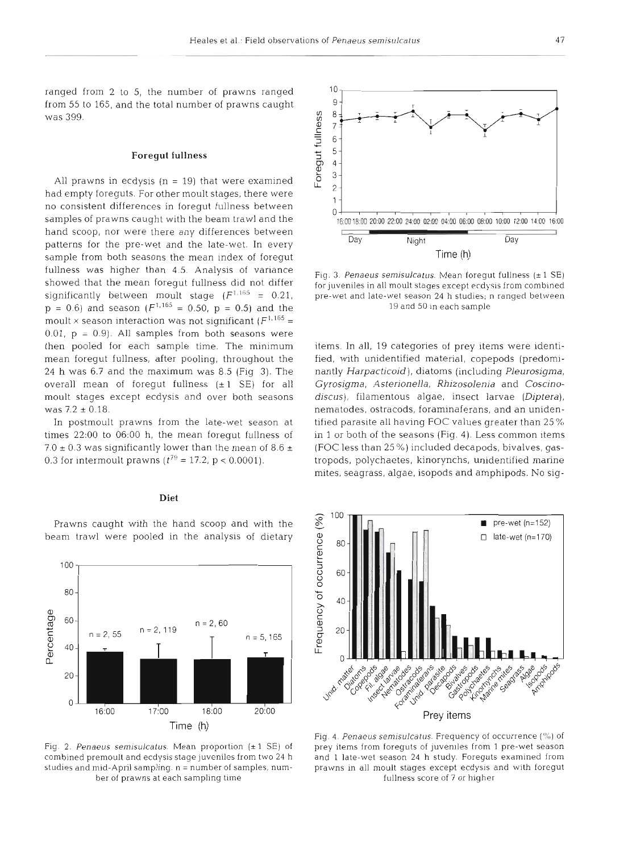10

ranged from 2 to 5, the number of prawns ranged from 55 to 165, and the total number of prawns caught was 399.

### Foregut fullness

All prawns in ecdysis  $(n = 19)$  that were examined had empty foreguts. For other moult stages, there were no consistent differences in foregut fullness between samples of prawns caught with the beam trawl and the hand scoop, nor were there any differences between patterns for the pre-wet and the late-wet. In every sample from both seasons the mean index of foregut fullness was higher than 4.5. Analysis of variance showed that the mean foregut fullness did not differ significantly between moult stage  $(F^{T,165} = 0.21)$ .  $p = 0.6$ ) and season ( $F^{1,165} = 0.50$ ,  $p = 0.5$ ) and the moult  $\times$  season interaction was not significant ( $F^{1,165}$  =  $0.01$ ,  $p = 0.9$ ). All samples from both seasons were then pooled for each sample time. The minimum mean foregut fullness, after pooling, throughout the 24 h was 6.7 and the maximum was 8.5 (Fig 3). The overall mean of foregut fullness  $(\pm 1 \text{ SE})$  for all moult stages except ecdysis and over both seasons was  $7.2 \pm 0.18$ .

In postmoult prawns from the late-wet season at times 22:OO to 06:OO h, the mean foregut fullness of 7.0  $\pm$  0.3 was significantly lower than the mean of 8.6  $\pm$ 0.3 for intermoult prawns  $(t^{79} = 17.2, p < 0.0001)$ .

# Diet

Prawns caught with the hand scoop and with the beam trawl were pooled in the analysis of dietary

100

80

60

 $40 -$ 

 $20 -$ 

0

 $n = 2, 55$ 

Percentage



Time (h)

 $n = 2, 60$ 

 $20:00$ 

 $n = 5, 165$ 

*16100 17100 18100 20100* 

 $n = 2, 119$ 

9 Foregut fullness 8  $\overline{7}$ 6  $5 \cdot$  $\overline{4}$ 3  $\overline{c}$ *<sup>0</sup>*'I 16.00 18:M) 20:OO 22:OO **24:OO** 02:OO 04:OO **0600** 08:OO 10:OO 12:OO 14:OO 16:OO I **1** Day Night Day Time (h)

Fig. 3. Penaeus semisulcatus. Mean foregut fullness (±1 SE) for juveniles in all moult stages except ecdysis from combined pre-wet and late-wet season 24 h studies; *<sup>n</sup>*ranged between 19 and *50* in each sample

items. In all, 19 categories of prey items were identified, with unidentified material, copepods (predominantly *Harpacticoid),* diatoms (including *Pleurosigma, Gyrosigma, .4sterionella, Rhizosolenia* and *Coscinodiscus),* filamentous algae, insect larvae *(Diptera),*  nematodes, ostracods, foraminaferans, and an unidentified parasite all having FOC values greater than 25 % in l or both of the seasons (Fig. 4). Less common items (FOC less than 25 **Oh)** included decapods, bivalves, gastropods, polychaetes, kinorynchs, unidentified marine mites, seagrass, algae, isopods and amphipods. No sig-



Fig. 4. Penaeus semisulcatus. Frequency of occurrence  $(\%)$  of prey items from foreguts of juveniles from 1 pre-wet season and 1 late-wet season **24** h study. Foreguts examined from prawns in all moult stages except ecdysis and with foregut fullness score of 7 or higher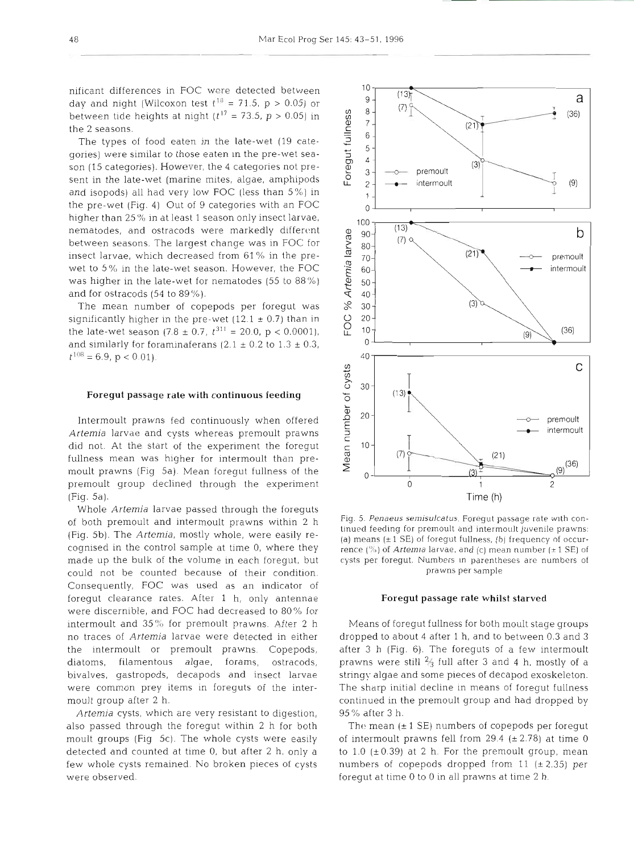nificant differences in FOC were detected between between tide heights at night  $(t^{17} = 73.5, p > 0.05)$  in the 2 seasons.

day and night (Wilcoxon test  $t^{18} = 71.5$ , p > 0.05) or<br>between tide heights at night ( $t^{17} = 73.5$ , p > 0.05) in<br>the 2 seasons.<br>The types of food eaten in the late-wet (19 cate-<br>gories) were similar to those eaten in t The types of food eaten in the late-wet (19 categories) were similar to those eaten in the pre-wet season (15 categories). However, the 4 categories not present in the late-wet (marine mites, algae, amphipods and isopods) all had very low FOC (less than 5%) in the pre-wet (Fig. 4) Out of 9 categories with an FOC higher than 25% in at least 1 season only insect larvae, nematodes, and ostracods were markedly different nematodes, and ostracods were markedly different<br>between seasons. The largest change was in FOC for<br>insect larvae, which decreased from 61% in the preinsect larvae, which decreased from 61 % in the prewet to 5% in the late-wet season. However, the FOC<br>was higher in the late-wet for nematodes (55 to 88%)<br>and for ostracods (54 to 89%). was higher in the late-wet for nematodes (55 to 88%) and for ostracods (54 to 89%).

The mean number of copepods per foregut was<br>gnificantly higher in the pre-wet  $(12.1 \pm 0.7)$  than in<br>le late-wet season  $(7.8 \pm 0.7, t^{311} = 20.0, p < 0.0001)$ , significantly higher in the pre-wet  $(12.1 \pm 0.7)$  than in the late-wet season  $(7.8 \pm 0.7, t^{311} = 20.0, p < 0.0001)$ , and similarly for foraminaferans (2.1  $\pm$  0.2 to 1.3  $\pm$  0.3,  $t^{108}$  = 6.9, p < 0.01).

### Foregut passage rate **with** continuous feeding

Foregut passage rate with continuous feeding<br>Intermoult prawns fed continuously when offered<br>*Intermia* larvae and cysts whereas premoult prawns<br>Intermal dust. At the start of the experiment the foregut<br>Illness mean was hi *Artemia* larvae and cysts whereas premoult prawns did not. At the start of the experiment the foregut fullness mean was higher for intermoult than premoult prawns (Fig 5a). Mean foregut fullness of the premoult group declined through the experiment (Fig. 5a).

Whole *Artemia* larvae passed through the foreguts of both premoult and intermoult prawns within 2 h (Fig. 5b). The *Artemia,* mostly whole, were easily recognised in the control sample at time 0, where they made up the bulk of the volume in each foregut, but could not be counted because of their condition. Consequently, FOC was used as an indicator of foregut clearance rates. After 1 h, only antennae were discernible, and FOC had decreased to 80% for intermoult and 35% for premoult prawns. After 2 h no traces of *Artemia* larvae were detected in either the intermoult or premoult prawns. Copepods, diatoms, filamentous algae, forams, ostracods, bivalves, gastropods, decapods and insect larvae were common prey items in foreguts of the intermoult group after 2 h.

*Artemia* cysts, which are very resistant to digestion, also passed through the foregut within 2 h for both moult groups (Fig 5c). The whole cysts were easily detected and counted at time 0, but after 2 h, only a few whole cysts remained. No broken pieces of cysts were observed.



Fig. 5. Penaeus semisulcatus. Foregut passage rate with continued feeding for premoult and intermoult juvenile prawns: (a) **means** (\* 1 SE) of foregut fullness, (b) frequency of occurrence ( $\sqrt[6]{\ }$ ) of *Artemia* larvae, and (c) mean number ( $\pm$  1 SE) of cysts per foregut. Numbers **In** parentheses are numbers of prawns per sample

### Foregut passage rate whilst starved

Means of foregut fullness for both moult stage groups dropped to about 4 after 1 h, and to between 0.3 and 3 after 3 h (Fig. 6). The foreguts of a few intermoult prawns were still **2/3** full after 3 and 4 h, mostly of a stringy algae and some pieces of decapod exoskeleton. The sharp initial decline in means of foregut fullness continued in the premoult group and had dropped by 95% after 3 h.

The mean  $(\pm 1 \text{ SE})$  numbers of copepods per foregut of intermoult prawns fell from 29.4  $(\pm 2.78)$  at time 0 to 1.0 ( $\pm$  0.39) at 2 h. For the premoult group, mean numbers of copepods dropped from 11  $(\pm 2.35)$  per foregut at time 0 to 0 in all prawns at time 2 h.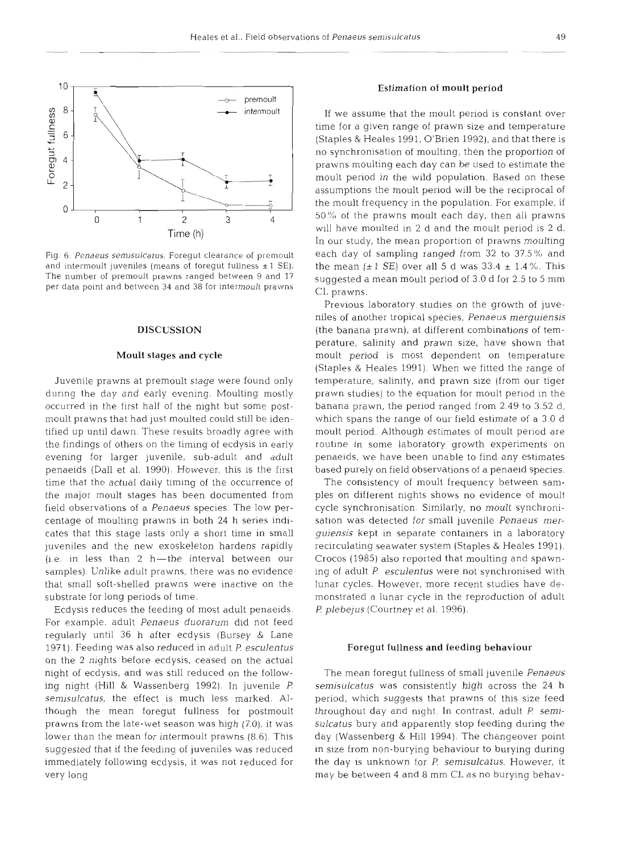

Fig. 6. Penaeus semisulcatus. Foregut clearance of premoult and intermoult juveniles (means of foregut fullness  $\pm 1$  SE). The number of premoult prawns ranged between 9 and 17 per data point and between 34 and 38 for intermoult prawns

#### **DISCUSSION**

# Moult stages and cycle

Juvenile prawns at premoult stage were found only during the day and early evening. Moulting mostly occurred in the first half of the night but some postmoult prawns that had just moulted could still be identified up until dawn. These results broadly agree with the findings of others on the timing of ecdysis in early evening for larger juvenile, sub-adult and adult penaeids (Dall et al. 1990). However, this is the first time that the actual daily timing of the occurrence of the major moult stages has been documented from field observations of a Penaeus species. The low percentage of moulting prawns in both 24 h series indicates that this stage lasts only a short time in small juveniles and the new exoskeleton hardens rapidly  $(i.e.$  in less than  $2$  h-the interval between our samples). Unlike adult prawns, there was no evidence that small soft-shelled prawns were inactive on the substrate for long periods of time.

Ecdysis reduces the feeding of most adult penaeids. For example, adult Penaeus duorarum did not feed regularly until 36 h after ecdysis (Bursey & Lane 1971). Feeding was also reduced in adult P. esculentus on the 2 nights before ecdysis, ceased on the actual night of ecdysis, and was still reduced on the following night (Hill & Wassenberg 1992). In juvenile *F!*  semisulcatus, the effect is much less marked. Although the mean foregut fullness for postmoult prawns from the late-wet season was high (7.0), it was lower than the mean for intermoult prawns (8.6). This suggested that if the feeding of juveniles was reduced immediately following ecdysis, it was not reduced for very long

# Estimation of moult period

If we assume that the moult period is constant over time for a given range of prawn size and temperature (Staples & Heales 1991, O'Brien 1992), and that there is no synchronisation of moulting, then the proportion of prawns moulting each day can be used to estimate the moult period in the wild population. Based on these assumptions the moult period will be the reciprocal of the moult frequency in the population. For example, if 50% of the prawns moult each day, then all prawns will have moulted in 2 d and the moult period is 2 d. In our study, the mean proportion of prawns moulting each day of sampling ranged from 32 to 37.5% and the mean  $(\pm 1 \text{ SE})$  over all 5 d was 33.4  $\pm$  1.4%. This suggested a mean moult period of 3.0 d for 2.5 to 5 mm CL prawns.

Previous laboratory studies on the growth of juveniles of another tropical species, Penaeus merguiensis (the banana prawn), at different combinations of temperature, salinity and prawn size, have shown that moult period is most dependent on temperature (Staples & Heales 1991). When we fitted the range of temperature, salinity, and prawn size (from our tiger prawn studies) to the equation for moult period in the banana prawn, the period ranged from 2.49 to 3.52 d, which spans the range of our field estimate of a 3.0 d moult period. Although estimates of moult period are routine in some laboratory growth experiments on penaeids, we have been unable to find any estimates based purely on field observations of a penaeid species.

The consistency of moult frequency between samples on different nights shows no evidence of moult cycle synchronisation. Similarly, no moult synchronisation was detected for small juvenile Penaeus merguiensis kept in separate containers in a laboratory recirculating seawater system (Staples & Heales 1991). Crocos (1985) also reported that moulting and spawning of adult P. esculentus were not synchronised with lunar cycles. However, more recent studies have demonstrated a lunar cycle in the reproduction of adult *P. plebejus* (Courtney et al. 1996).

# Foregut fullness and feeding behaviour

The mean foregut fullness of small juvenile Penaeus semisulcatus was consistently high across the 24 h period, which suggests that prawns of this size feed throughout day and night. In contrast, adult P. semisulcatus bury and apparently stop feeding during the day (Wassenberg & Hill 1994). The changeover point in size from non-burying behaviour to burying during the day is unknown for P. semisulcatus. However, it may be between 4 and 8 mm CL as no burying behav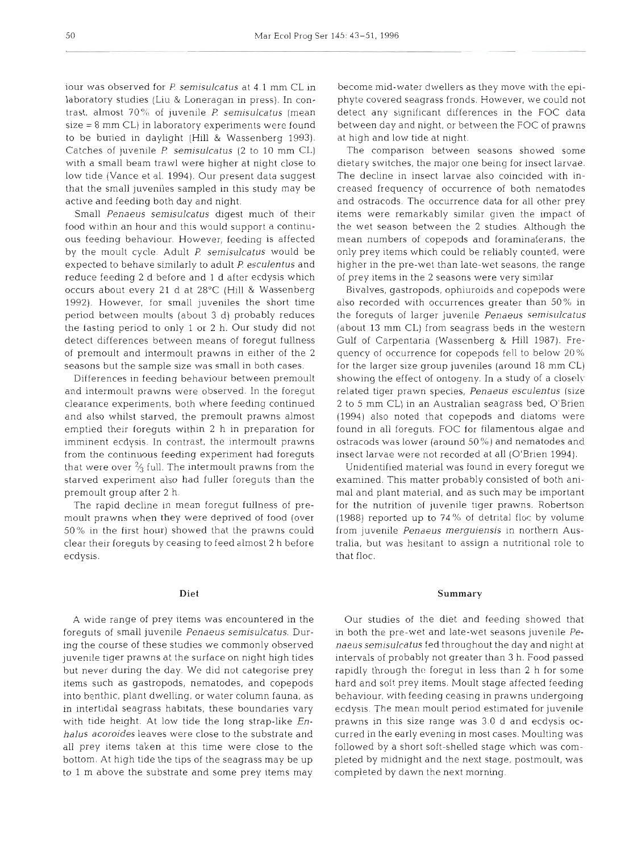iour was observed for P *semisulcatus* at *4.1* mm CL in laboratory studies (Liu & Loneragan in press). In contrast, almost 70% of juvenile P *semisulcatus* (mean size = 8 mm CL) in laboratory experiments were found to be buried in daylight (Hill & Wassenberg 1993). Catches of juvenile P *semisulcatus* (2 to 10 mm CL) with a small beam trawl were higher at night close to low tide (Vance et al. 1994). Our present data suggest that the small juveniles sampled in this study may be active and feeding both day and night.

Small *Penaeus semisulcatus* digest much of their food within an hour and this would support a continuous feeding behaviour. However, feeding is affected by the moult cycle. Adult P *semisulcatus* would be expected to behave similarly to adult P *esculentus* and reduce feeding 2 d before and 1 d after ecdysis which occurs about every 21 d at 28°C (Hill & Wassenberg 1992). However, for small juveniles the short time period between moults (about 3 d) probably reduces the tasting period to only 1 or 2 h. Our study did not detect differences between means of foregut fullness of premoult and intermoult prawns in either of the 2 seasons but the sample size was small in both cases.

Differences in feeding behaviour between premoult and intermoult prawns were observed. In the foregut clearance experiments, both where feeding continued and also whilst starved, the premoult prawns almost emptied their foreguts within 2 h in preparation for imminent ecdysis. In contrast, the intermoult prawns from the continuous feeding experiment had foreguts that were over  $\frac{2}{3}$  full. The intermoult prawns from the starved experiment also had fuller foreguts than the premoult group after 2 h.

The rapid decline in mean foregut fullness of premoult prawns when they were deprived of food (over 50% in the first hour) showed that the prawns could clear their foreguts by ceasing to feed almost 2 h before ecdysis.

A wide range of prey items was encountered in the foreguts of small juvenile *Penaeus semisulcatus.* During the course of these studies we commonly observed juvenile tiger prawns at the surface on night high tides but never during the day. We did not categorise prey items such as gastropods, nematodes, and copepods into benthic, plant dwelling, or water column fauna, as in intertidal seagrass habitats, these boundaries vary with tide height. At low tide the long strap-like *Enhalus acoroides* leaves were close to the substrate and all prey items taken at this time were close to the bottom. At high tide the tips of the seagrass may be up to 1 m above the substrate and some prey items may

become mid-water dwellers as they move with the epiphyte covered seagrass fronds. However, we could not detect any significant differences in the FOC data between day and night, or between the FOC of prawns at high and low tide at night.

The comparison between seasons showed some dietary switches, the major one being for insect larvae. The decline in insect larvae also coincided with increased frequency of occurrence of both nematodes and ostracods. The occurrence data for all other prey items were remarkably similar given the impact of the wet season between the 2 studies. Although the mean numbers of copepods and foraminaferans, the only prey items which could be reliably counted, were higher in the pre-wet than late-wet seasons, the range of prey items in the 2 seasons were very similar

Bivalves, gastropods, ophiuroids and copepods were also recorded with occurrences greater than 50% in the foreguts of larger juvenile *Penaeus semisulcatus* (about 13 mm CL) from seagrass beds in the western Gulf of Carpentaria (Wassenberg & Hill 1987). Frequency of occurrence for copepods fell to below 20% for the larger size group juveniles (around 18 mm CL) showing the effect of ontogeny. In a study of a closely related tiger prawn species, *Penaeus esculentus* (size *2* to 5 mm CL) in an Australian seagrass bed, O'Brien (1994) also noted, that copepods and diatoms were found in all foreguts. FOC for filamentous algae and ostracods was lower (around 50 %) and nematodes and insect larvae were not recorded at all (O'Brien 1994).

Unidentified material was found in every foregut we examined. This matter probably consisted of both animal and plant material, and as such may be important for the nutrition of juvenile tiger prawns. Robertson (1988) reported up to 74% of detrital floc by volume from juvenile *Penaeus merguiensis* in northern Australia, but was hesitant to assign a nutritional role to that floc.

# **Summary**

Our studies of the diet and feeding showed that in both the pre-wet and late-wet seasons juvenile *Penaeus semisulcatus* fed throughout the day and night at intervals of probably not greater than 3 h. Food passed rapidly through the foregut in less than 2 h for some hard and soft prey items. Moult stage affected feeding behaviour. with feeding ceasing in prawns undergoing ecdysis. The mean moult period estimated for juvenile prawns in this size range was 3.0 d and ecdysis occurred in the early evening in most cases. Moulting was followed by a short soft-shelled stage which was completed by midnight and the next stage, postmoult, was completed by dawn the next morning.